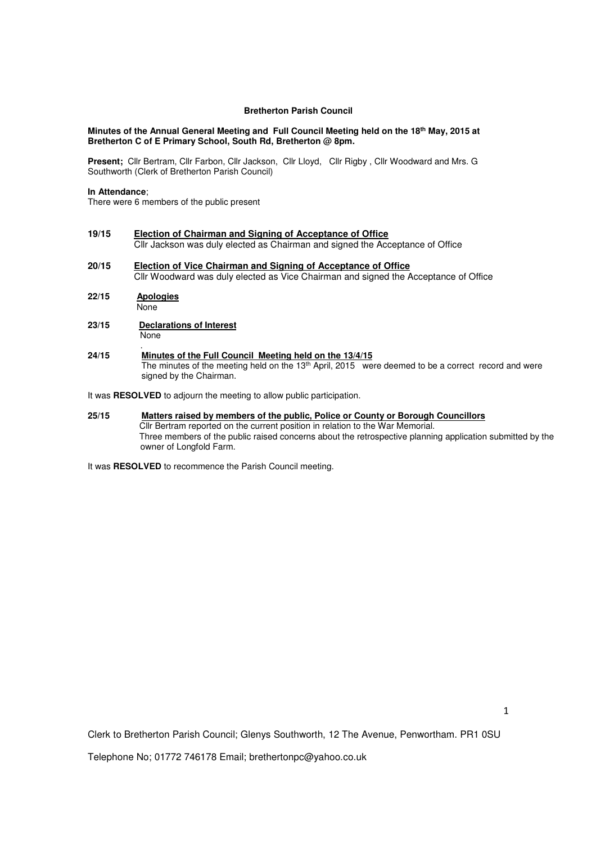## **Bretherton Parish Council**

### **Minutes of the Annual General Meeting and Full Council Meeting held on the 18th May, 2015 at Bretherton C of E Primary School, South Rd, Bretherton @ 8pm.**

**Present;** Cllr Bertram, Cllr Farbon, Cllr Jackson, Cllr Lloyd, Cllr Rigby , Cllr Woodward and Mrs. G Southworth (Clerk of Bretherton Parish Council)

### **In Attendance**;

There were 6 members of the public present

| 19/15 | Election of Chairman and Signing of Acceptance of Office<br>Cllr Jackson was duly elected as Chairman and signed the Acceptance of Office            |
|-------|------------------------------------------------------------------------------------------------------------------------------------------------------|
| 20/15 | Election of Vice Chairman and Signing of Acceptance of Office<br>Cllr Woodward was duly elected as Vice Chairman and signed the Acceptance of Office |
| 22/15 | <b>Apologies</b><br>None                                                                                                                             |
| 23/15 | <b>Declarations of Interest</b><br>None                                                                                                              |

. **24/15 Minutes of the Full Council Meeting held on the 13/4/15**  The minutes of the meeting held on the 13<sup>th</sup> April, 2015 were deemed to be a correct record and were signed by the Chairman.

It was **RESOLVED** to adjourn the meeting to allow public participation.

**25/15 Matters raised by members of the public, Police or County or Borough Councillors**  Cllr Bertram reported on the current position in relation to the War Memorial. Three members of the public raised concerns about the retrospective planning application submitted by the owner of Longfold Farm.

It was **RESOLVED** to recommence the Parish Council meeting.

Clerk to Bretherton Parish Council; Glenys Southworth, 12 The Avenue, Penwortham. PR1 0SU

Telephone No; 01772 746178 Email; brethertonpc@yahoo.co.uk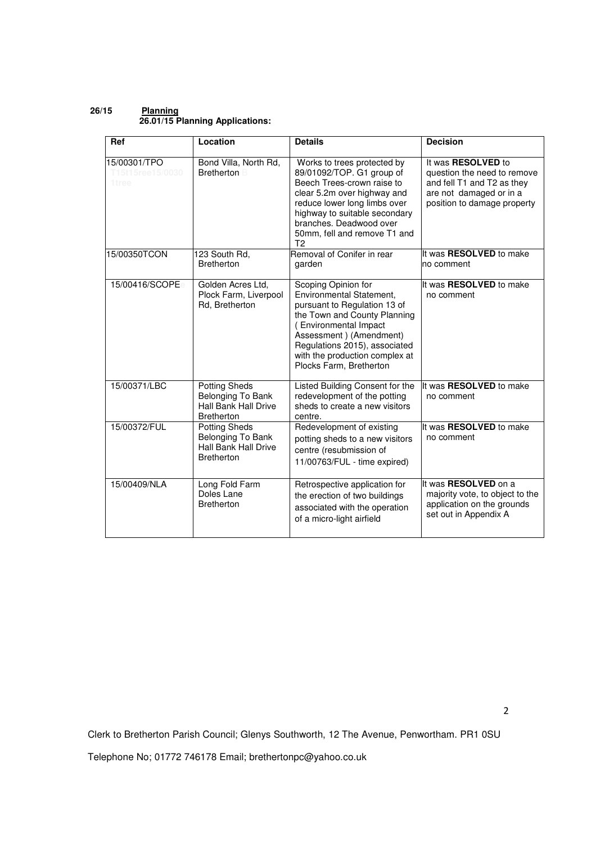### **26/15 Planning 26.01/15 Planning Applications:**

| Ref                                      | <b>Location</b>                                                                               | <b>Details</b>                                                                                                                                                                                                                                                            | <b>Decision</b>                                                                                                                                  |
|------------------------------------------|-----------------------------------------------------------------------------------------------|---------------------------------------------------------------------------------------------------------------------------------------------------------------------------------------------------------------------------------------------------------------------------|--------------------------------------------------------------------------------------------------------------------------------------------------|
| 15/00301/TPO<br>15t15ree15/0030<br>1tree | Bond Villa, North Rd,<br>Bretherton B                                                         | Works to trees protected by<br>89/01092/TOP. G1 group of<br>Beech Trees-crown raise to<br>clear 5.2m over highway and<br>reduce lower long limbs over<br>highway to suitable secondary<br>branches. Deadwood over<br>50mm, fell and remove T1 and<br>T <sub>2</sub>       | It was <b>RESOLVED</b> to<br>question the need to remove<br>and fell T1 and T2 as they<br>are not damaged or in a<br>position to damage property |
| 15/00350TCON                             | 123 South Rd,<br><b>Bretherton</b>                                                            | Removal of Conifer in rear<br>garden                                                                                                                                                                                                                                      | It was <b>RESOLVED</b> to make<br>no comment                                                                                                     |
| 15/00416/SCOPE                           | Golden Acres Ltd,<br>Plock Farm, Liverpool<br>Rd, Bretherton                                  | Scoping Opinion for<br><b>Environmental Statement.</b><br>pursuant to Regulation 13 of<br>the Town and County Planning<br>(Environmental Impact<br>Assessment ) (Amendment)<br>Regulations 2015), associated<br>with the production complex at<br>Plocks Farm, Bretherton | It was <b>RESOLVED</b> to make<br>no comment                                                                                                     |
| 15/00371/LBC                             | <b>Potting Sheds</b><br>Belonging To Bank<br><b>Hall Bank Hall Drive</b><br><b>Bretherton</b> | Listed Building Consent for the<br>redevelopment of the potting<br>sheds to create a new visitors<br>centre.                                                                                                                                                              | It was RESOLVED to make<br>no comment                                                                                                            |
| 15/00372/FUL                             | <b>Potting Sheds</b><br>Belonging To Bank<br><b>Hall Bank Hall Drive</b><br><b>Bretherton</b> | Redevelopment of existing<br>potting sheds to a new visitors<br>centre (resubmission of<br>11/00763/FUL - time expired)                                                                                                                                                   | It was RESOLVED to make<br>no comment                                                                                                            |
| 15/00409/NLA                             | Long Fold Farm<br>Doles Lane<br><b>Bretherton</b>                                             | Retrospective application for<br>the erection of two buildings<br>associated with the operation<br>of a micro-light airfield                                                                                                                                              | It was RESOLVED on a<br>majority vote, to object to the<br>application on the grounds<br>set out in Appendix A                                   |

Clerk to Bretherton Parish Council; Glenys Southworth, 12 The Avenue, Penwortham. PR1 0SU

Telephone No; 01772 746178 Email; brethertonpc@yahoo.co.uk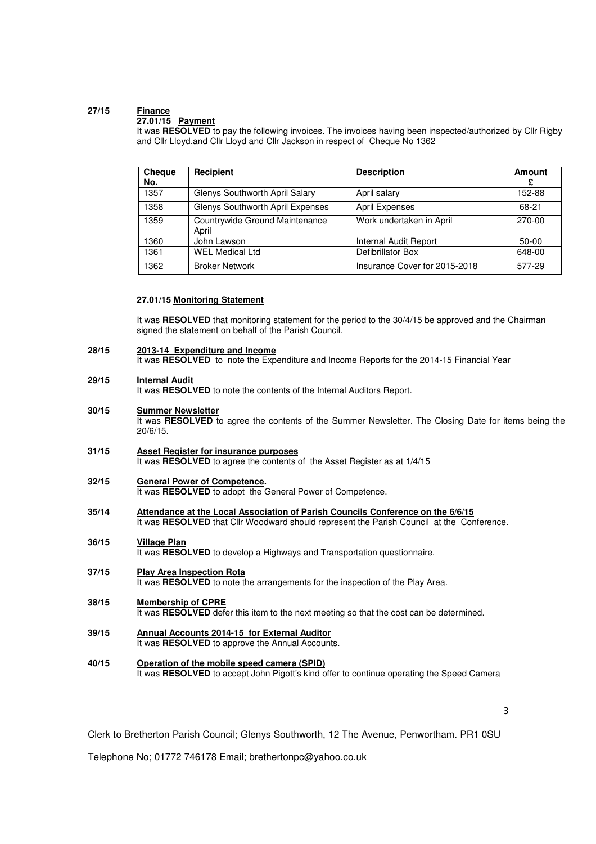# **27/15 Finance**

### **27.01/15 Payment**

It was **RESOLVED** to pay the following invoices. The invoices having been inspected/authorized by Cllr Rigby and Cllr Lloyd.and Cllr Lloyd and Cllr Jackson in respect of Cheque No 1362

| Cheque<br>No. | Recipient                               | <b>Description</b>            | <b>Amount</b><br>£ |
|---------------|-----------------------------------------|-------------------------------|--------------------|
| 1357          | Glenys Southworth April Salary          | April salary                  | 152-88             |
| 1358          | Glenys Southworth April Expenses        | <b>April Expenses</b>         | 68-21              |
| 1359          | Countrywide Ground Maintenance<br>April | Work undertaken in April      | 270-00             |
| 1360          | John Lawson                             | Internal Audit Report         | $50 - 00$          |
| 1361          | <b>WEL Medical Ltd</b>                  | Defibrillator Box             | 648-00             |
| 1362          | <b>Broker Network</b>                   | Insurance Cover for 2015-2018 | 577-29             |

### **27.01/15 Monitoring Statement**

It was RESOLVED that monitoring statement for the period to the 30/4/15 be approved and the Chairman signed the statement on behalf of the Parish Council.

#### **28/15 2013-14 Expenditure and Income**

It was **RESOLVED** to note the Expenditure and Income Reports for the 2014-15 Financial Year

#### **29/15 Internal Audit**

It was **RESOLVED** to note the contents of the Internal Auditors Report.

#### **30/15 Summer Newsletter**

It was RESOLVED to agree the contents of the Summer Newsletter. The Closing Date for items being the 20/6/15.

- **31/15 Asset Register for insurance purposes**  It was **RESOLVED** to agree the contents of the Asset Register as at 1/4/15
- **32/15 General Power of Competence.**

It was **RESOLVED** to adopt the General Power of Competence.

**35/14 Attendance at the Local Association of Parish Councils Conference on the 6/6/15**  It was **RESOLVED** that Cllr Woodward should represent the Parish Council at the Conference.

#### **36/15 Village Plan**

It was **RESOLVED** to develop a Highways and Transportation questionnaire.

- **37/15 Play Area Inspection Rota**  It was **RESOLVED** to note the arrangements for the inspection of the Play Area.
- **38/15 Membership of CPRE**  It was **RESOLVED** defer this item to the next meeting so that the cost can be determined.
- **39/15 Annual Accounts 2014-15 for External Auditor**  It was **RESOLVED** to approve the Annual Accounts.
- **40/15 Operation of the mobile speed camera (SPID)**  It was **RESOLVED** to accept John Pigott's kind offer to continue operating the Speed Camera

3

Clerk to Bretherton Parish Council; Glenys Southworth, 12 The Avenue, Penwortham. PR1 0SU

Telephone No; 01772 746178 Email; brethertonpc@yahoo.co.uk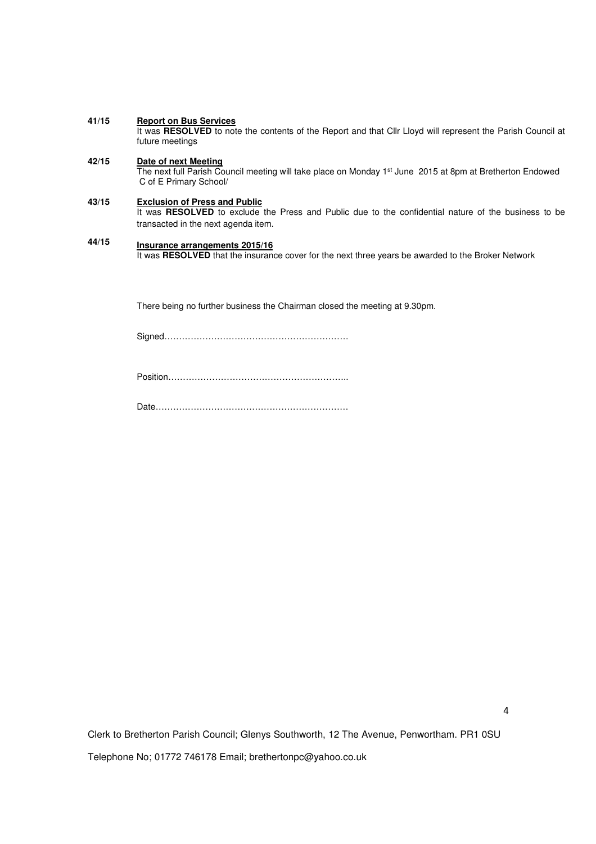| 41/15 | <b>Report on Bus Services</b> |  |
|-------|-------------------------------|--|
|       |                               |  |

It was **RESOLVED** to note the contents of the Report and that Cllr Lloyd will represent the Parish Council at future meetings

**42/15 Date of next Meeting**  The next full Parish Council meeting will take place on Monday 1st June 2015 at 8pm at Bretherton Endowed C of E Primary School/

### **43/15 Exclusion of Press and Public**  It was **RESOLVED** to exclude the Press and Public due to the confidential nature of the business to be transacted in the next agenda item.

#### **44/15 Insurance arrangements 2015/16**

It was **RESOLVED** that the insurance cover for the next three years be awarded to the Broker Network

There being no further business the Chairman closed the meeting at 9.30pm.

Signed………………………………………………………

Position……………………………………………………..

Date…………………………………………………………

Clerk to Bretherton Parish Council; Glenys Southworth, 12 The Avenue, Penwortham. PR1 0SU Telephone No; 01772 746178 Email; brethertonpc@yahoo.co.uk